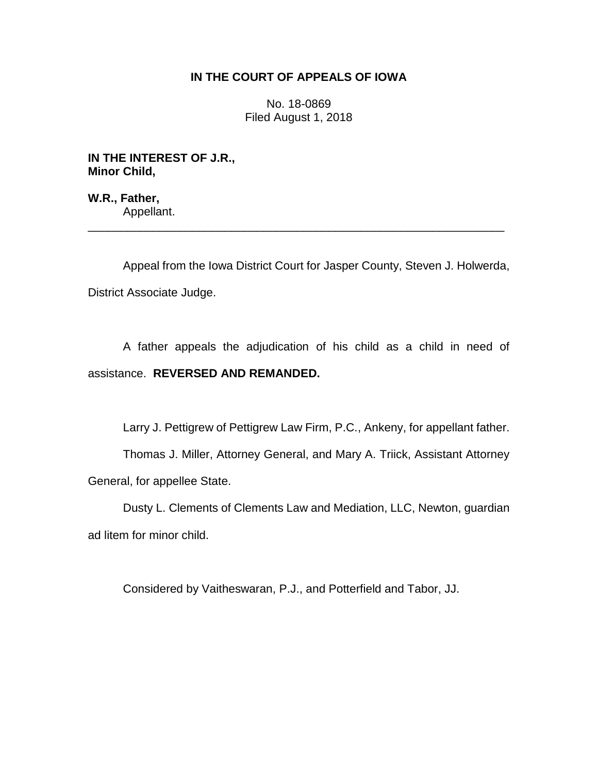# **IN THE COURT OF APPEALS OF IOWA**

No. 18-0869 Filed August 1, 2018

**IN THE INTEREST OF J.R., Minor Child,**

**W.R., Father,** Appellant.

Appeal from the Iowa District Court for Jasper County, Steven J. Holwerda, District Associate Judge.

\_\_\_\_\_\_\_\_\_\_\_\_\_\_\_\_\_\_\_\_\_\_\_\_\_\_\_\_\_\_\_\_\_\_\_\_\_\_\_\_\_\_\_\_\_\_\_\_\_\_\_\_\_\_\_\_\_\_\_\_\_\_\_\_

A father appeals the adjudication of his child as a child in need of assistance. **REVERSED AND REMANDED.** 

Larry J. Pettigrew of Pettigrew Law Firm, P.C., Ankeny, for appellant father.

Thomas J. Miller, Attorney General, and Mary A. Triick, Assistant Attorney General, for appellee State.

Dusty L. Clements of Clements Law and Mediation, LLC, Newton, guardian ad litem for minor child.

Considered by Vaitheswaran, P.J., and Potterfield and Tabor, JJ.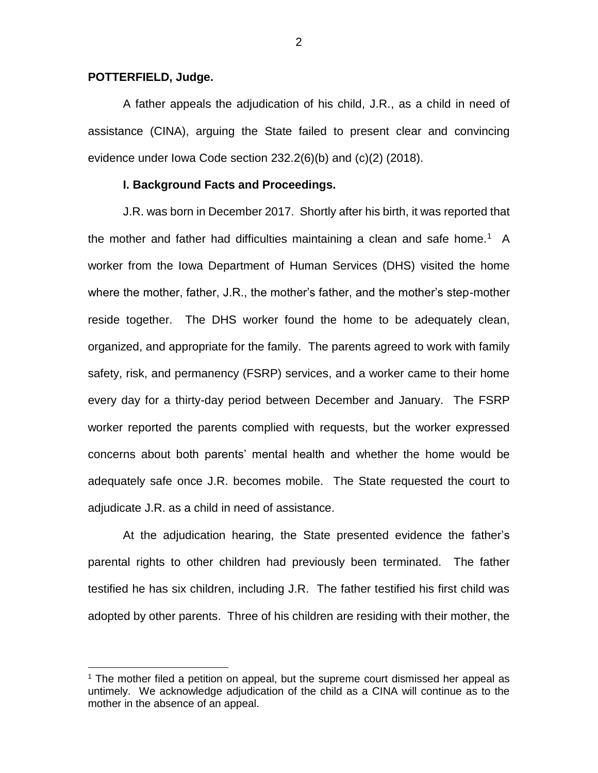### **POTTERFIELD, Judge.**

 $\overline{a}$ 

A father appeals the adjudication of his child, J.R., as a child in need of assistance (CINA), arguing the State failed to present clear and convincing evidence under Iowa Code section 232.2(6)(b) and (c)(2) (2018).

### **I. Background Facts and Proceedings.**

J.R. was born in December 2017. Shortly after his birth, it was reported that the mother and father had difficulties maintaining a clean and safe home.<sup>1</sup> A worker from the Iowa Department of Human Services (DHS) visited the home where the mother, father, J.R., the mother's father, and the mother's step-mother reside together. The DHS worker found the home to be adequately clean, organized, and appropriate for the family. The parents agreed to work with family safety, risk, and permanency (FSRP) services, and a worker came to their home every day for a thirty-day period between December and January. The FSRP worker reported the parents complied with requests, but the worker expressed concerns about both parents' mental health and whether the home would be adequately safe once J.R. becomes mobile. The State requested the court to adjudicate J.R. as a child in need of assistance.

At the adjudication hearing, the State presented evidence the father's parental rights to other children had previously been terminated. The father testified he has six children, including J.R. The father testified his first child was adopted by other parents. Three of his children are residing with their mother, the

 $<sup>1</sup>$  The mother filed a petition on appeal, but the supreme court dismissed her appeal as</sup> untimely. We acknowledge adjudication of the child as a CINA will continue as to the mother in the absence of an appeal.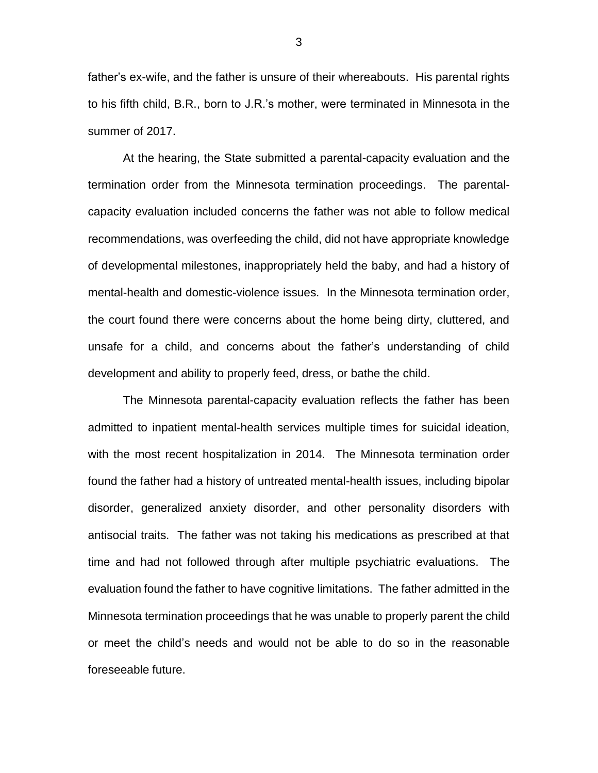father's ex-wife, and the father is unsure of their whereabouts. His parental rights to his fifth child, B.R., born to J.R.'s mother, were terminated in Minnesota in the summer of 2017.

At the hearing, the State submitted a parental-capacity evaluation and the termination order from the Minnesota termination proceedings. The parentalcapacity evaluation included concerns the father was not able to follow medical recommendations, was overfeeding the child, did not have appropriate knowledge of developmental milestones, inappropriately held the baby, and had a history of mental-health and domestic-violence issues. In the Minnesota termination order, the court found there were concerns about the home being dirty, cluttered, and unsafe for a child, and concerns about the father's understanding of child development and ability to properly feed, dress, or bathe the child.

The Minnesota parental-capacity evaluation reflects the father has been admitted to inpatient mental-health services multiple times for suicidal ideation, with the most recent hospitalization in 2014. The Minnesota termination order found the father had a history of untreated mental-health issues, including bipolar disorder, generalized anxiety disorder, and other personality disorders with antisocial traits. The father was not taking his medications as prescribed at that time and had not followed through after multiple psychiatric evaluations. The evaluation found the father to have cognitive limitations. The father admitted in the Minnesota termination proceedings that he was unable to properly parent the child or meet the child's needs and would not be able to do so in the reasonable foreseeable future.

3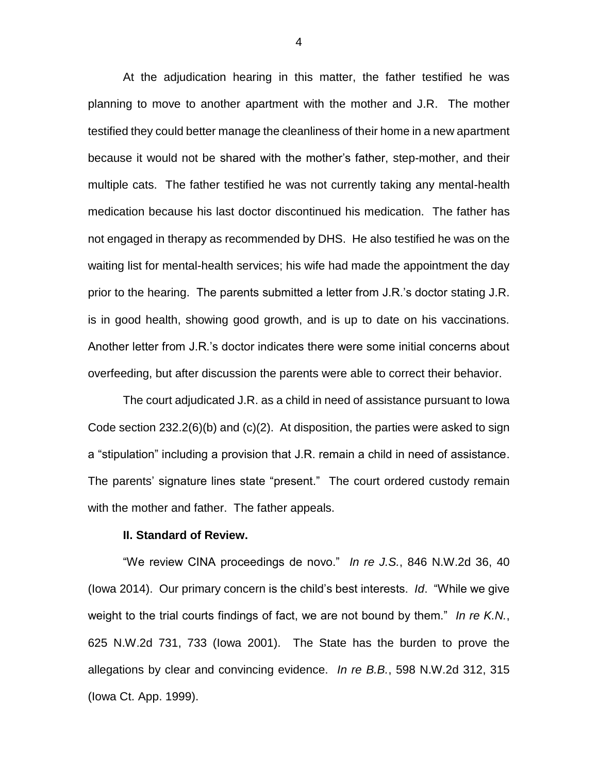At the adjudication hearing in this matter, the father testified he was planning to move to another apartment with the mother and J.R. The mother testified they could better manage the cleanliness of their home in a new apartment because it would not be shared with the mother's father, step-mother, and their multiple cats. The father testified he was not currently taking any mental-health medication because his last doctor discontinued his medication. The father has not engaged in therapy as recommended by DHS. He also testified he was on the waiting list for mental-health services; his wife had made the appointment the day prior to the hearing. The parents submitted a letter from J.R.'s doctor stating J.R. is in good health, showing good growth, and is up to date on his vaccinations. Another letter from J.R.'s doctor indicates there were some initial concerns about overfeeding, but after discussion the parents were able to correct their behavior.

The court adjudicated J.R. as a child in need of assistance pursuant to Iowa Code section 232.2(6)(b) and  $(c)(2)$ . At disposition, the parties were asked to sign a "stipulation" including a provision that J.R. remain a child in need of assistance. The parents' signature lines state "present." The court ordered custody remain with the mother and father. The father appeals.

#### **II. Standard of Review.**

"We review CINA proceedings de novo." *In re J.S.*, 846 N.W.2d 36, 40 (Iowa 2014). Our primary concern is the child's best interests. *Id*. "While we give weight to the trial courts findings of fact, we are not bound by them." *In re K.N.*, 625 N.W.2d 731, 733 (Iowa 2001). The State has the burden to prove the allegations by clear and convincing evidence. *In re B.B.*, 598 N.W.2d 312, 315 (Iowa Ct. App. 1999).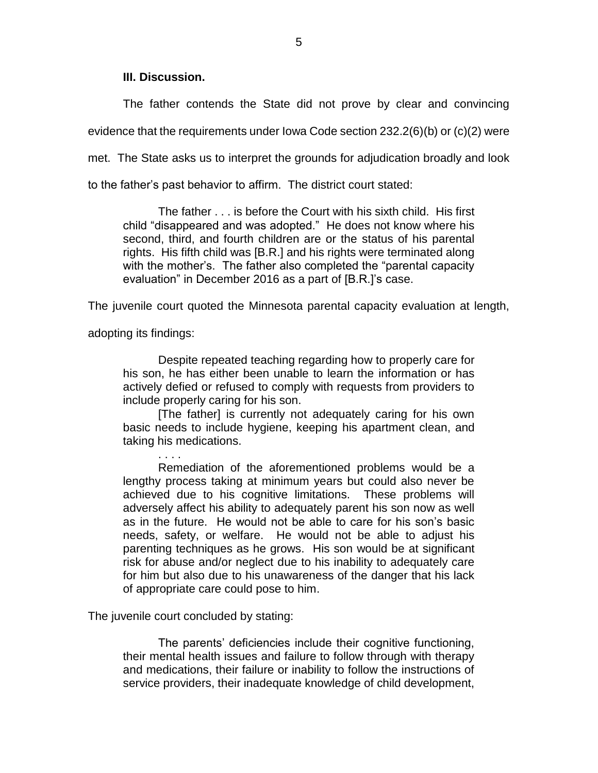# **III. Discussion.**

The father contends the State did not prove by clear and convincing evidence that the requirements under Iowa Code section 232.2(6)(b) or (c)(2) were met. The State asks us to interpret the grounds for adjudication broadly and look to the father's past behavior to affirm. The district court stated:

The father . . . is before the Court with his sixth child. His first child "disappeared and was adopted." He does not know where his second, third, and fourth children are or the status of his parental rights. His fifth child was [B.R.] and his rights were terminated along with the mother's. The father also completed the "parental capacity evaluation" in December 2016 as a part of [B.R.]'s case.

The juvenile court quoted the Minnesota parental capacity evaluation at length,

adopting its findings:

. . . .

Despite repeated teaching regarding how to properly care for his son, he has either been unable to learn the information or has actively defied or refused to comply with requests from providers to include properly caring for his son.

[The father] is currently not adequately caring for his own basic needs to include hygiene, keeping his apartment clean, and taking his medications.

Remediation of the aforementioned problems would be a lengthy process taking at minimum years but could also never be achieved due to his cognitive limitations. These problems will adversely affect his ability to adequately parent his son now as well as in the future. He would not be able to care for his son's basic needs, safety, or welfare. He would not be able to adjust his parenting techniques as he grows. His son would be at significant risk for abuse and/or neglect due to his inability to adequately care for him but also due to his unawareness of the danger that his lack of appropriate care could pose to him.

The juvenile court concluded by stating:

The parents' deficiencies include their cognitive functioning, their mental health issues and failure to follow through with therapy and medications, their failure or inability to follow the instructions of service providers, their inadequate knowledge of child development,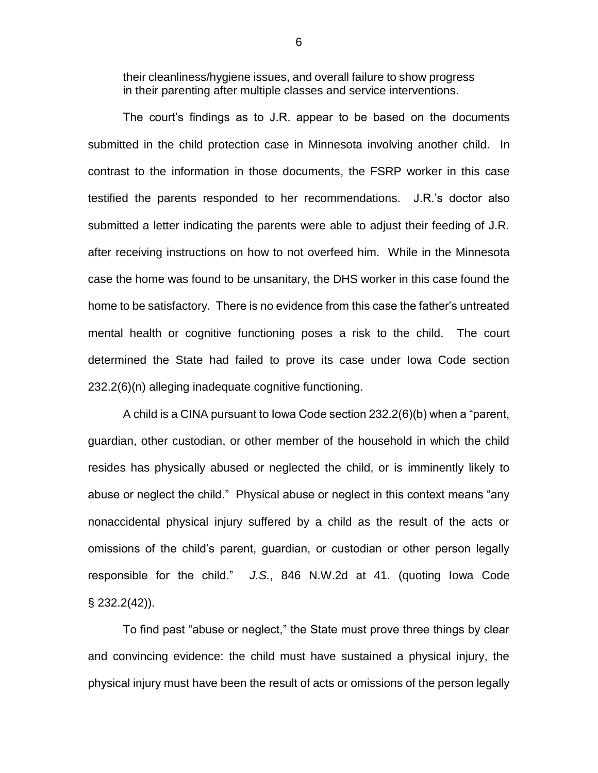their cleanliness/hygiene issues, and overall failure to show progress in their parenting after multiple classes and service interventions.

The court's findings as to J.R. appear to be based on the documents submitted in the child protection case in Minnesota involving another child. In contrast to the information in those documents, the FSRP worker in this case testified the parents responded to her recommendations. J.R.'s doctor also submitted a letter indicating the parents were able to adjust their feeding of J.R. after receiving instructions on how to not overfeed him. While in the Minnesota case the home was found to be unsanitary, the DHS worker in this case found the home to be satisfactory. There is no evidence from this case the father's untreated mental health or cognitive functioning poses a risk to the child. The court determined the State had failed to prove its case under Iowa Code section 232.2(6)(n) alleging inadequate cognitive functioning.

A child is a CINA pursuant to Iowa Code section 232.2(6)(b) when a "parent, guardian, other custodian, or other member of the household in which the child resides has physically abused or neglected the child, or is imminently likely to abuse or neglect the child." Physical abuse or neglect in this context means "any nonaccidental physical injury suffered by a child as the result of the acts or omissions of the child's parent, guardian, or custodian or other person legally responsible for the child." *J.S.*, 846 N.W.2d at 41. (quoting Iowa Code § 232.2(42)).

To find past "abuse or neglect," the State must prove three things by clear and convincing evidence: the child must have sustained a physical injury, the physical injury must have been the result of acts or omissions of the person legally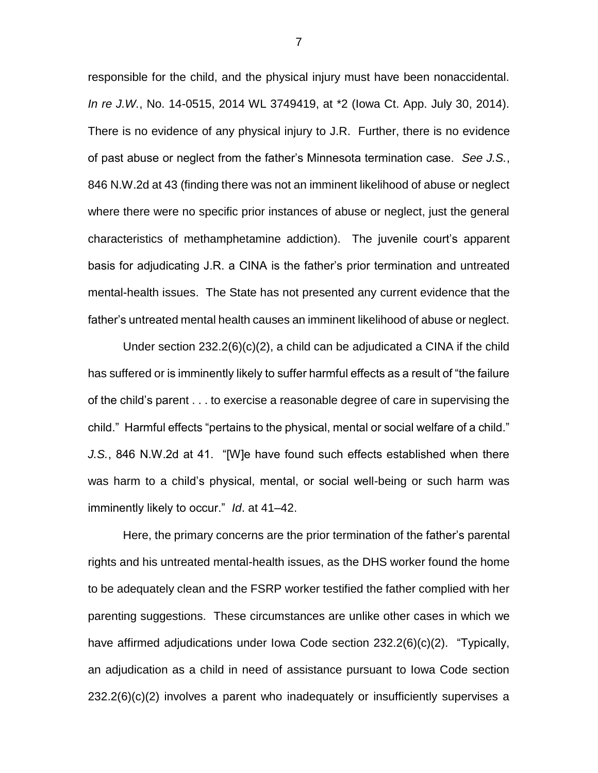responsible for the child, and the physical injury must have been nonaccidental. *In re J.W.*, No. 14-0515, 2014 WL 3749419, at \*2 (Iowa Ct. App. July 30, 2014). There is no evidence of any physical injury to J.R. Further, there is no evidence of past abuse or neglect from the father's Minnesota termination case. *See J.S.*, 846 N.W.2d at 43 (finding there was not an imminent likelihood of abuse or neglect where there were no specific prior instances of abuse or neglect, just the general characteristics of methamphetamine addiction). The juvenile court's apparent basis for adjudicating J.R. a CINA is the father's prior termination and untreated mental-health issues. The State has not presented any current evidence that the father's untreated mental health causes an imminent likelihood of abuse or neglect.

Under section  $232.2(6)(c)(2)$ , a child can be adjudicated a CINA if the child has suffered or is imminently likely to suffer harmful effects as a result of "the failure of the child's parent . . . to exercise a reasonable degree of care in supervising the child." Harmful effects "pertains to the physical, mental or social welfare of a child." *J.S.*, 846 N.W.2d at 41. "[W]e have found such effects established when there was harm to a child's physical, mental, or social well-being or such harm was imminently likely to occur." *Id*. at 41–42.

Here, the primary concerns are the prior termination of the father's parental rights and his untreated mental-health issues, as the DHS worker found the home to be adequately clean and the FSRP worker testified the father complied with her parenting suggestions. These circumstances are unlike other cases in which we have affirmed adjudications under Iowa Code section 232.2(6)(c)(2). "Typically, an adjudication as a child in need of assistance pursuant to Iowa Code section 232.2(6)(c)(2) involves a parent who inadequately or insufficiently supervises a

7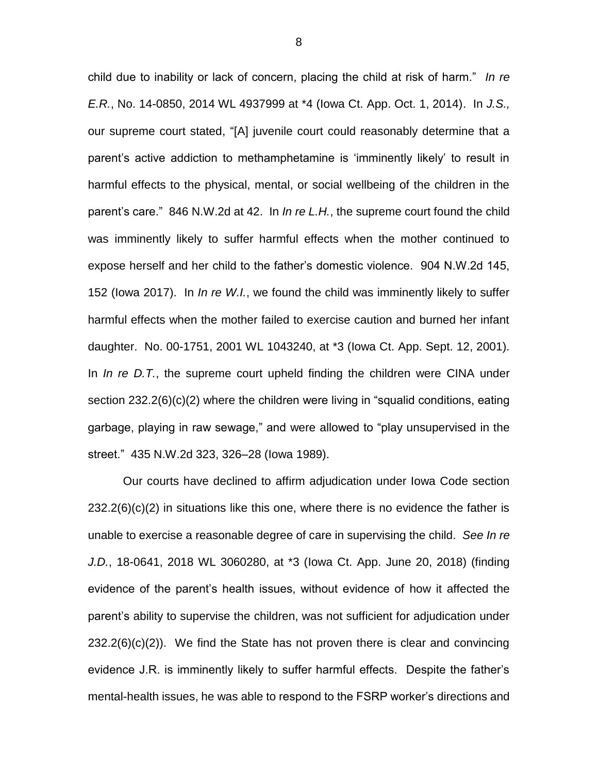child due to inability or lack of concern, placing the child at risk of harm." *In re E.R.*, No. 14-0850, 2014 WL 4937999 at \*4 (Iowa Ct. App. Oct. 1, 2014). In *J.S.,*  our supreme court stated, "[A] juvenile court could reasonably determine that a parent's active addiction to methamphetamine is 'imminently likely' to result in harmful effects to the physical, mental, or social wellbeing of the children in the parent's care." 846 N.W.2d at 42. In *In re L.H.*, the supreme court found the child was imminently likely to suffer harmful effects when the mother continued to expose herself and her child to the father's domestic violence. 904 N.W.2d 145, 152 (Iowa 2017). In *In re W.I.*, we found the child was imminently likely to suffer harmful effects when the mother failed to exercise caution and burned her infant daughter. No. 00-1751, 2001 WL 1043240, at \*3 (Iowa Ct. App. Sept. 12, 2001). In *In re D.T.*, the supreme court upheld finding the children were CINA under section 232.2(6)(c)(2) where the children were living in "squalid conditions, eating garbage, playing in raw sewage," and were allowed to "play unsupervised in the street." 435 N.W.2d 323, 326–28 (Iowa 1989).

Our courts have declined to affirm adjudication under Iowa Code section  $232.2(6)(c)(2)$  in situations like this one, where there is no evidence the father is unable to exercise a reasonable degree of care in supervising the child. *See In re J.D.*, 18-0641, 2018 WL 3060280, at \*3 (Iowa Ct. App. June 20, 2018) (finding evidence of the parent's health issues, without evidence of how it affected the parent's ability to supervise the children, was not sufficient for adjudication under  $232.2(6)(c)(2)$ . We find the State has not proven there is clear and convincing evidence J.R. is imminently likely to suffer harmful effects. Despite the father's mental-health issues, he was able to respond to the FSRP worker's directions and